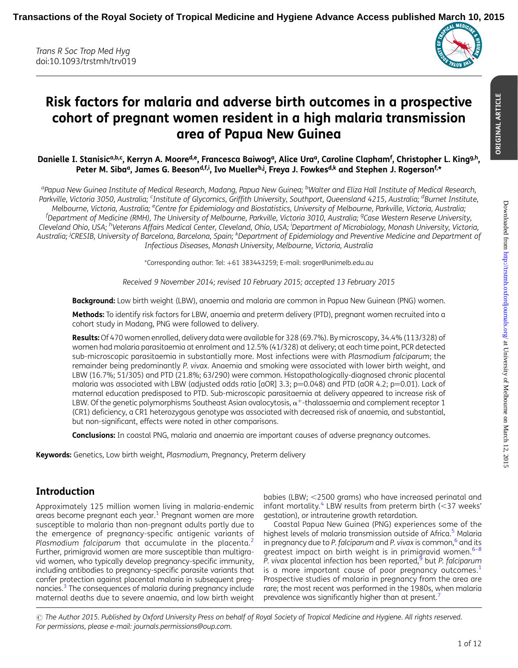

# Risk factors for malaria and adverse birth outcomes in a prospective cohort of pregnant women resident in a high malaria transmission area of Papua New Guinea

Danielle I. Stanisic<sup>a,b,c</sup>, Kerryn A. Moore<sup>d,e</sup>, Francesca Baiwogª, Alice Uraª, Caroline Clapham<sup>f</sup>, Christopher L. King<sup>g,h</sup>, Peter M. Siba<sup>a</sup>, James G. Beeson<sup>d,f,i</sup>, Ivo Mueller<sup>b,j</sup>, Freya J. Fowkes<sup>d,k</sup> and Stephen J. Rogerson<sup>f,\*</sup>

<sup>a</sup>Papua New Guinea Institute of Medical Research, Madang, Papua New Guinea; <sup>b</sup>Walter and Eliza Hall Institute of Medical Research, Parkville, Victoria 3050, Australia; <sup>c</sup>Institute of Glycomics, Griffith University, Southport, Queensland 4215, Australia; <sup>d</sup>Burnet Institute, Melbourne, Victoria, Australia; <sup>e</sup>Centre for Epidemiology and Biostatistics, University of Melbourne, Parkville, Victoria, Australia; <sup>f</sup>Department of Medicine (RMH), The University of Melbourne, Parkville, Victoria 3010, Australia; <sup>g</sup>Case Western Reserve University, Cleveland Ohio, USA; <sup>h</sup>Veterans Affairs Medical Center, Cleveland, Ohio, USA; <sup>i</sup>Department of Microbiology, Monash University, Victoria, Australia; <sup>j</sup>CRESIB, University of Barcelona, Barcelona, Spain; <sup>k</sup>Department of Epidemiology and Preventive Medicine and Department of Infectious Diseases, Monash University, Melbourne, Victoria, Australia

\*Corresponding author: Tel: +61 383443259; E-mail: sroger@unimelb.edu.au

Received 9 November 2014; revised 10 February 2015; accepted 13 February 2015

Background: Low birth weight (LBW), anaemia and malaria are common in Papua New Guinean (PNG) women.

Methods: To identify risk factors for LBW, anaemia and preterm delivery (PTD), pregnant women recruited into a cohort study in Madang, PNG were followed to delivery.

Results: Of 470 women enrolled, delivery data were available for 328 (69.7%). By microscopy, 34.4% (113/328) of women had malaria parasitaemia at enrolment and 12.5% (41/328) at delivery; at each time point, PCR detected sub-microscopic parasitaemia in substantially more. Most infections were with Plasmodium falciparum; the remainder being predominantly P. vivax. Anaemia and smoking were associated with lower birth weight, and LBW (16.7%; 51/305) and PTD (21.8%; 63/290) were common. Histopathologically-diagnosed chronic placental malaria was associated with LBW (adjusted odds ratio [aOR] 3.3; p=0.048) and PTD (aOR 4.2; p=0.01). Lack of maternal education predisposed to PTD. Sub-microscopic parasitaemia at delivery appeared to increase risk of LBW. Of the genetic polymorphisms Southeast Asian ovalocytosis,  $\alpha^+$ -thalassaemia and complement receptor 1 (CR1) deficiency, a CR1 heterozygous genotype was associated with decreased risk of anaemia, and substantial, but non-significant, effects were noted in other comparisons.

**Conclusions:** In coastal PNG, malaria and anaemia are important causes of adverse pregnancy outcomes.

Keywords: Genetics, Low birth weight, Plasmodium, Pregnancy, Preterm delivery

## Introduction

Approximately 125 million women living in malaria-endemic areas become pregnant each year.[1](#page-11-0) Pregnant women are more susceptible to malaria than non-pregnant adults partly due to the emergence of pregnancy-specific antigenic variants of Plasmodium falciparum that accumulate in the placenta.<sup>[2](#page-11-0)</sup> Further, primigravid women are more susceptible than multigravid women, who typically develop pregnancy-specific immunity, including antibodies to pregnancy-specific parasite variants that confer protection against placental malaria in subsequent preg-nancies.<sup>[3](#page-11-0)</sup> The consequences of malaria during pregnancy include maternal deaths due to severe anaemia, and low birth weight

babies (LBW;  $<$ 2500 grams) who have increased perinatal and infant mortality.<sup>[4](#page-11-0)</sup> LBW results from preterm birth  $(<$ 37 weeks' gestation), or intrauterine growth retardation.

Coastal Papua New Guinea (PNG) experiences some of the highest levels of malaria transmission outside of Africa.<sup>[5](#page-11-0)</sup> Malaria in pregnancy due to P. falciparum and P. vivax is common, $^6$  and its greatest impact on birth weight is in primigravid women.<sup>[6](#page-11-0)-[8](#page-11-0)</sup> P. vivax placental infection has been reported, but P. falciparum is a more important cause of poor pregnancy outcomes.<sup>[1](#page-11-0)</sup> Prospective studies of malaria in pregnancy from the area are rare; the most recent was performed in the 1980s, when malaria prevalence was significantly higher than at present.<sup>7</sup>

 $\odot$  The Author 2015. Published by Oxford University Press on behalf of Royal Society of Tropical Medicine and Hygiene. All rights reserved. For permissions, please e-mail: journals.permissions@oup.com.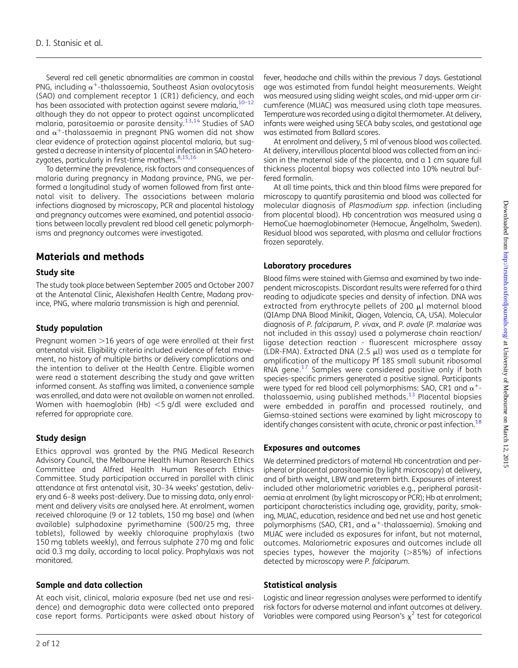Several red cell genetic abnormalities are common in coastal PNG, including  $\alpha^+$ -thalassaemia, Southeast Asian ovalocytosis (SAO) and complement receptor 1 (CR1) deficiency, and each has been associated with protection against severe malaria,  $10-12$  $10-12$  $10-12$ although they do not appear to protect against uncomplicated malaria, parasitaemia or parasite density. $13,14$  Studies of SAO and  $\alpha^+$ -thalassaemia in pregnant PNG women did not show clear evidence of protection against placental malaria, but suggested a decrease in intensity of placental infection in SAO hetero-zygotes, particularly in first-time mothers.<sup>[8,15](#page-11-0),[16](#page-11-0)</sup>

To determine the prevalence, risk factors and consequences of malaria during pregnancy in Madang province, PNG, we performed a longitudinal study of women followed from first antenatal visit to delivery. The associations between malaria infections diagnosed by microscopy, PCR and placental histology and pregnancy outcomes were examined, and potential associations between locally prevalent red blood cell genetic polymorphisms and pregnancy outcomes were investigated.

# Materials and methods

#### Study site

The study took place between September 2005 and October 2007 at the Antenatal Clinic, Alexishafen Health Centre, Madang province, PNG, where malaria transmission is high and perennial.

### Study population

Pregnant women  $>$ 16 years of age were enrolled at their first antenatal visit. Eligibility criteria included evidence of fetal movement, no history of multiple births or delivery complications and the intention to deliver at the Health Centre. Eligible women were read a statement describing the study and gave written informed consent. As staffing was limited, a convenience sample was enrolled, and data were not available on women not enrolled. Women with haemoglobin (Hb)  $<$  5 g/dl were excluded and referred for appropriate care.

### Study design

Ethics approval was granted by the PNG Medical Research Advisory Council, the Melbourne Health Human Research Ethics Committee and Alfred Health Human Research Ethics Committee. Study participation occurred in parallel with clinic attendance at first antenatal visit, 30–34 weeks' gestation, delivery and 6–8 weeks post-delivery. Due to missing data, only enrolment and delivery visits are analysed here. At enrolment, women received chloroquine (9 or 12 tablets, 150 mg base) and (when available) sulphadoxine pyrimethamine (500/25 mg, three tablets), followed by weekly chloroquine prophylaxis (two 150 mg tablets weekly), and ferrous sulphate 270 mg and folic acid 0.3 mg daily, according to local policy. Prophylaxis was not monitored.

### Sample and data collection

At each visit, clinical, malaria exposure (bed net use and residence) and demographic data were collected onto prepared case report forms. Participants were asked about history of

fever, headache and chills within the previous 7 days. Gestational age was estimated from fundal height measurements. Weight was measured using sliding weight scales, and mid-upper arm circumference (MUAC) was measured using cloth tape measures. Temperature was recorded using a digital thermometer. At delivery, infants were weighed using SECA baby scales, and gestational age was estimated from Ballard scores.

At enrolment and delivery, 5 ml of venous blood was collected. At delivery, intervillous placental blood was collected from an incision in the maternal side of the placenta, and a 1 cm square full thickness placental biopsy was collected into 10% neutral buffered formalin.

At all time points, thick and thin blood films were prepared for microscopy to quantify parasitemia and blood was collected for molecular diagnosis of Plasmodium spp. infection (including from placental blood). Hb concentration was measured using a HemoCue haemoglobinometer (Hemocue, Ängelholm, Sweden). Residual blood was separated, with plasma and cellular fractions frozen separately.

#### Laboratory procedures

Blood films were stained with Giemsa and examined by two independent microscopists. Discordant results were referred for a third reading to adjudicate species and density of infection. DNA was extracted from erythrocyte pellets of 200 µl maternal blood (QIAmp DNA Blood Minikit, Qiagen, Valencia, CA, USA). Molecular diagnosis of P. falciparum, P. vivax, and P. ovale (P. malariae was not included in this assay) used a polymerase chain reaction/ ligase detection reaction - fluorescent microsphere assay (LDR-FMA). Extracted DNA (2.5  $\mu$ l) was used as a template for amplification of the multicopy Pf 18S small subunit ribosomal RNA gene.<sup>[17](#page-11-0)</sup> Samples were considered positive only if both species-specific primers generated a positive signal. Participants were typed for red blood cell polymorphisms: SAO, CR1 and  $\alpha^+$ thalassaemia, using published methods.[13](#page-11-0) Placental biopsies were embedded in paraffin and processed routinely, and Giemsa-stained sections were examined by light microscopy to identify changes consistent with acute, chronic or past infection.<sup>18</sup>

#### Exposures and outcomes

We determined predictors of maternal Hb concentration and peripheral or placental parasitaemia (by light microscopy) at delivery, and of birth weight, LBW and preterm birth. Exposures of interest included other malariometric variables e.g., peripheral parasitaemia at enrolment (by light microscopy or PCR); Hb at enrolment; participant characteristics including age, gravidity, parity, smoking, MUAC, education, residence and bed net use and host genetic polymorphisms (SAO, CR1, and  $\alpha^+$ -thalassaemia). Smoking and MUAC were included as exposures for infant, but not maternal, outcomes. Malariometric exposures and outcomes include all species types, however the majority  $(>\,85\%)$  of infections detected by microscopy were P. falciparum.

### Statistical analysis

Logistic and linear regression analyses were performed to identify risk factors for adverse maternal and infant outcomes at delivery. Variables were compared using Pearson's  $\chi^2$  test for categorical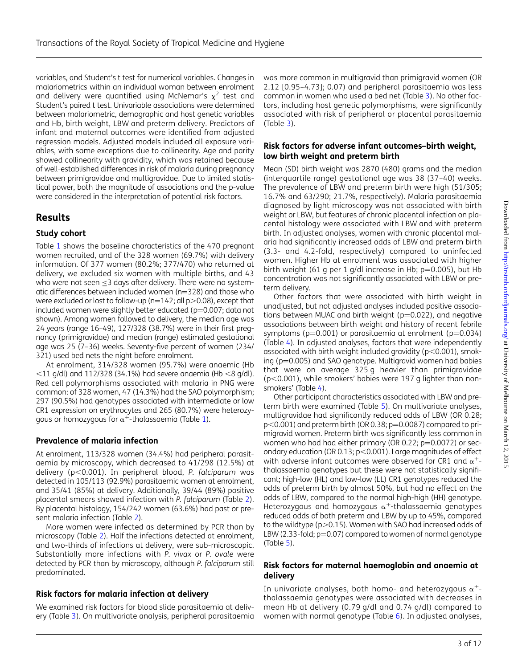variables, and Student's t test for numerical variables. Changes in malariometrics within an individual woman between enrolment and delivery were quantified using McNemar's  $\chi^2$  test and Student's paired t test. Univariable associations were determined between malariometric, demographic and host genetic variables and Hb, birth weight, LBW and preterm delivery. Predictors of infant and maternal outcomes were identified from adjusted regression models. Adjusted models included all exposure variables, with some exceptions due to collinearity. Age and parity showed collinearity with gravidity, which was retained because of well-established differences in risk of malaria during pregnancy between primigravidae and multigravidae. Due to limited statistical power, both the magnitude of associations and the p-value were considered in the interpretation of potential risk factors.

# Results

#### Study cohort

Table [1](#page-3-0) shows the baseline characteristics of the 470 pregnant women recruited, and of the 328 women (69.7%) with delivery information. Of 377 women (80.2%; 377/470) who returned at delivery, we excluded six women with multiple births, and 43 who were not seen <3 days after delivery. There were no systematic differences between included women  $(n=328)$  and those who were excluded or lost to follow-up ( $n=142$ ; all  $p>0.08$ ), except that included women were slightly better educated ( $p=0.007$ ; data not shown). Among women followed to delivery, the median age was 24 years (range 16–49), 127/328 (38.7%) were in their first pregnancy (primigravidae) and median (range) estimated gestational age was 25 (7–36) weeks. Seventy-five percent of women (234/ 321) used bed nets the night before enrolment.

At enrolment, 314/328 women (95.7%) were anaemic (Hb  $\langle 11 \text{ g/dl} \rangle$  and 112/328 (34.1%) had severe anaemia (Hb  $\langle 8 \text{ g/dl} \rangle$ . Red cell polymorphisms associated with malaria in PNG were common: of 328 women, 47 (14.3%) had the SAO polymorphism; 297 (90.5%) had genotypes associated with intermediate or low CR1 expression on erythrocytes and 265 (80.7%) were heterozygous or homozygous for  $\alpha^+$ -thalassaemia (Table [1](#page-3-0)).

### Prevalence of malaria infection

At enrolment, 113/328 women (34.4%) had peripheral parasitaemia by microscopy, which decreased to 41/298 (12.5%) at delivery (p<0.001). In peripheral blood, P. falciparum was detected in 105/113 (92.9%) parasitaemic women at enrolment, and 35/41 (85%) at delivery. Additionally, 39/44 (89%) positive placental smears showed infection with P. falciparum (Table [2](#page-4-0)). By placental histology, 154/242 women (63.6%) had past or present malaria infection (Table [2\)](#page-4-0).

More women were infected as determined by PCR than by microscopy (Table [2\)](#page-4-0). Half the infections detected at enrolment, and two-thirds of infections at delivery, were sub-microscopic. Substantially more infections with P. vivax or P. ovale were detected by PCR than by microscopy, although P. falciparum still predominated.

### Risk factors for malaria infection at delivery

We examined risk factors for blood slide parasitaemia at delivery (Table [3](#page-5-0)). On multivariate analysis, peripheral parasitaemia was more common in multigravid than primigravid women (OR 2.12 [0.95–4.73]; 0.07) and peripheral parasitaemia was less common in women who used a bed net (Table [3](#page-5-0)). No other factors, including host genetic polymorphisms, were significantly associated with risk of peripheral or placental parasitaemia (Table [3](#page-5-0)).

#### Risk factors for adverse infant outcomes–birth weight, low birth weight and preterm birth

Mean (SD) birth weight was 2870 (480) grams and the median (interquartile range) gestational age was 38 (37–40) weeks. The prevalence of LBW and preterm birth were high (51/305; 16.7% and 63/290; 21.7%, respectively). Malaria parasitaemia diagnosed by light microscopy was not associated with birth weight or LBW, but features of chronic placental infection on placental histology were associated with LBW and with preterm birth. In adjusted analyses, women with chronic placental malaria had significantly increased odds of LBW and preterm birth (3.3- and 4.2-fold, respectively) compared to uninfected women. Higher Hb at enrolment was associated with higher birth weight (61 g per 1 g/dl increase in Hb;  $p=0.005$ ), but Hb concentration was not significantly associated with LBW or preterm delivery.

Other factors that were associated with birth weight in unadjusted, but not adjusted analyses included positive associations between MUAC and birth weight ( $p=0.022$ ), and negative associations between birth weight and history of recent febrile symptoms ( $p=0.001$ ) or parasitaemia at enrolment ( $p=0.034$ ) (Table [4\)](#page-6-0). In adjusted analyses, factors that were independently associated with birth weight included gravidity ( $p<0.001$ ), smoking ( $p=0.005$ ) and SAO genotype. Multigravid women had babies that were on average 325 g heavier than primigravidae  $(p<0.001)$ , while smokers' babies were 197 g lighter than non-smokers' (Table [4](#page-6-0)).

Other participant characteristics associated with LBW and preterm birth were examined (Table [5\)](#page-7-0). On multivariate analyses, multigravidae had significantly reduced odds of LBW (OR 0.28;  $p<0.001$ ) and preterm birth (OR 0.38;  $p=0.0087$ ) compared to primigravid women. Preterm birth was significantly less common in women who had had either primary (OR 0.22;  $p=0.0072$ ) or secondary education (OR 0.13;  $p<0.001$ ). Large magnitudes of effect with adverse infant outcomes were observed for CR1 and  $\alpha^+$ thalassaemia genotypes but these were not statistically significant; high-low (HL) and low-low (LL) CR1 genotypes reduced the odds of preterm birth by almost 50%, but had no effect on the odds of LBW, compared to the normal high-high (HH) genotype. Heterozygous and homozygous  $\alpha^+$ -thalassaemia genotypes reduced odds of both preterm and LBW by up to 45%, compared to the wildtype ( $p > 0.15$ ). Women with SAO had increased odds of LBW (2.33-fold;  $p=0.07$ ) compared to women of normal genotype (Table [5](#page-7-0)).

#### Risk factors for maternal haemoglobin and anaemia at delivery

In univariate analyses, both homo- and heterozygous  $\alpha^+$ thalassaemia genotypes were associated with decreases in mean Hb at delivery (0.79 g/dl and 0.74 g/dl) compared to women with normal genotype (Table [6](#page-9-0)). In adjusted analyses,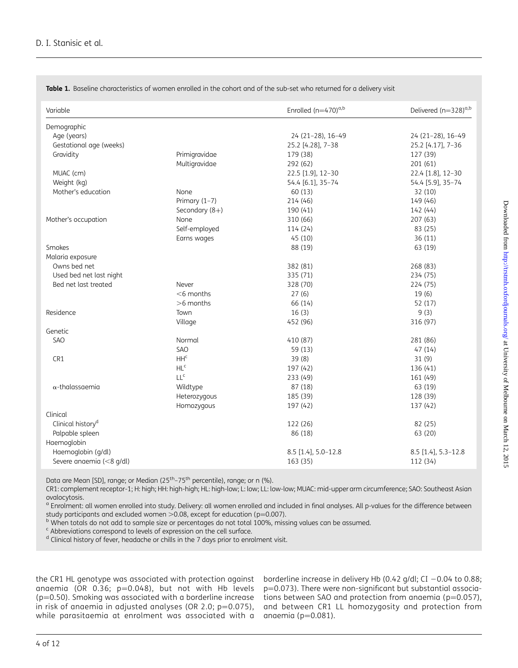| Variable                      |                 | Enrolled $(n=470)^{a,b}$ | Delivered (n=328) <sup>a,b</sup> |
|-------------------------------|-----------------|--------------------------|----------------------------------|
| Demographic                   |                 |                          |                                  |
| Age (years)                   |                 | 24 (21-28), 16-49        | 24 (21-28), 16-49                |
| Gestational age (weeks)       |                 | 25.2 [4.28], 7-38        | 25.2 [4.17], 7-36                |
| Gravidity                     | Primigravidae   | 179 (38)                 | 127 (39)                         |
|                               | Multigravidae   | 292 (62)                 | 201(61)                          |
| MUAC (cm)                     |                 | 22.5 [1.9], 12-30        | 22.4 [1.8], 12-30                |
| Weight (kg)                   |                 | 54.4 [6.1], 35-74        | 54.4 [5.9], 35-74                |
| Mother's education            | None            | 60 (13)                  | 32 (10)                          |
|                               | Primary $(1-7)$ | 214 (46)                 | 149 (46)                         |
|                               | Secondary (8+)  | 190 (41)                 | 142 (44)                         |
| Mother's occupation           | None            | 310 (66)                 | 207 (63)                         |
|                               | Self-employed   | 114 (24)                 | 83 (25)                          |
|                               | Earns wages     | 45(10)                   | 36(11)                           |
| Smokes                        |                 | 88 (19)                  | 63 (19)                          |
| Malaria exposure              |                 |                          |                                  |
| Owns bed net                  |                 | 382 (81)                 | 268 (83)                         |
| Used bed net last night       |                 | 335 (71)                 | 234 (75)                         |
| Bed net last treated          | Never           | 328 (70)                 | 224 (75)                         |
|                               | $<$ 6 months    | 27(6)                    | 19(6)                            |
|                               | $>6$ months     | 66 (14)                  | 52 (17)                          |
| Residence                     | Town            | 16(3)                    | 9(3)                             |
|                               | Village         | 452 (96)                 | 316 (97)                         |
| Genetic                       |                 |                          |                                  |
| <b>SAO</b>                    | Normal          | 410 (87)                 | 281 (86)                         |
|                               | SAO             | 59 (13)                  | 47(14)                           |
| CR1                           | HH <sup>c</sup> | 39(8)                    | 31(9)                            |
|                               | HL <sup>c</sup> | 197 (42)                 | 136 (41)                         |
|                               | LL <sup>c</sup> | 233 (49)                 | 161 (49)                         |
| $\alpha$ -thalassaemia        | Wildtype        | 87 (18)                  | 63 (19)                          |
|                               | Heterozygous    | 185 (39)                 | 128 (39)                         |
|                               | Homozygous      | 197 (42)                 | 137 (42)                         |
| Clinical                      |                 |                          |                                  |
| Clinical history <sup>d</sup> |                 | 122 (26)                 | 82 (25)                          |
| Palpable spleen               |                 | 86 (18)                  | 63 (20)                          |
| Haemoglobin                   |                 |                          |                                  |
| Haemoglobin (g/dl)            |                 | 8.5 [1.4], 5.0-12.8      | 8.5 [1.4], 5.3-12.8              |
| Severe anaemia (<8 g/dl)      |                 | 163 (35)                 | 112 (34)                         |

<span id="page-3-0"></span>Table 1. Baseline characteristics of women enrolled in the cohort and of the sub-set who returned for a delivery visit

Data are Mean [SD], range; or Median (25<sup>th</sup>–75<sup>th</sup> percentile), range; or n (%).

CR1: complement receptor-1; H: high; HH: high-high; HL: high-low; L: low; LL: low-low; MUAC: mid-upper arm circumference; SAO: Southeast Asian ovalocytosis.

<sup>a</sup> Enrolment: all women enrolled into study. Delivery: all women enrolled and included in final analyses. All p-values for the difference between

study participants and excluded women >0.08, except for education (p=0.007).<br><sup>b</sup> When totals do not add to sample size or percentages do not total 100%, missing values can be assumed.

<sup>c</sup> Abbreviations correspond to levels of expression on the cell surface.

<sup>d</sup> Clinical history of fever, headache or chills in the 7 days prior to enrolment visit.

the CR1 HL genotype was associated with protection against anaemia (OR 0.36;  $p=0.048$ ), but not with Hb levels  $(p=0.50)$ . Smoking was associated with a borderline increase in risk of anaemia in adjusted analyses (OR 2.0;  $p=0.075$ ), while parasitaemia at enrolment was associated with a  $\,$  anaemia (p $=$ 0.081).  $\,$ 

borderline increase in delivery Hb (0.42 g/dl; CI  $-0.04$  to 0.88; p=0.073). There were non-significant but substantial associations between SAO and protection from anaemia ( $p=0.057$ ), and between CR1 LL homozygosity and protection from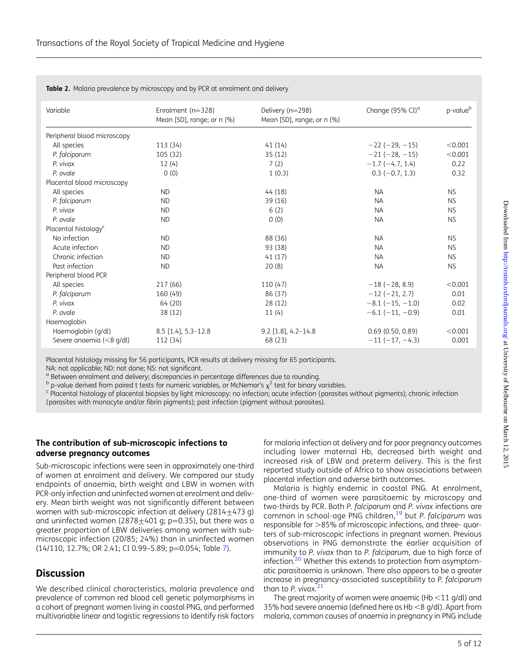| Variable                         | Enrolment $(n=328)$        | Delivery (n=298)           | Change (95% CI) <sup>a</sup> | p-value <sup>b</sup> |
|----------------------------------|----------------------------|----------------------------|------------------------------|----------------------|
|                                  | Mean [SD], range; or n (%) | Mean [SD], range; or n (%) |                              |                      |
| Peripheral blood microscopy      |                            |                            |                              |                      |
| All species                      | 113 (34)                   | 41(14)                     | $-22(-29, -15)$              | < 0.001              |
| P. falciparum                    | 105 (32)                   | 35(12)                     | $-21(-28, -15)$              | < 0.001              |
| P. vivax                         | 12(4)                      | 7(2)                       | $-1.7(-4.7, 1.4)$            | 0.22                 |
| P. ovale                         | 0(0)                       | 1(0.3)                     | $0.3$ (-0.7, 1.3)            | 0.32                 |
| Placental blood microscopy       |                            |                            |                              |                      |
| All species                      | <b>ND</b>                  | 44(18)                     | <b>NA</b>                    | <b>NS</b>            |
| P. falciparum                    | <b>ND</b>                  | 39 (16)                    | <b>NA</b>                    | <b>NS</b>            |
| P. vivax                         | <b>ND</b>                  | 6(2)                       | <b>NA</b>                    | <b>NS</b>            |
| P. ovale                         | <b>ND</b>                  | 0(0)                       | <b>NA</b>                    | <b>NS</b>            |
| Placental histology <sup>c</sup> |                            |                            |                              |                      |
| No infection                     | <b>ND</b>                  | 88 (36)                    | <b>NA</b>                    | <b>NS</b>            |
| Acute infection                  | <b>ND</b>                  | 93 (38)                    | <b>NA</b>                    | <b>NS</b>            |
| Chronic infection                | <b>ND</b>                  | 41(17)                     | <b>NA</b>                    | <b>NS</b>            |
| Past infection                   | <b>ND</b>                  | 20(8)                      | <b>NA</b>                    | <b>NS</b>            |
| Peripheral blood PCR             |                            |                            |                              |                      |
| All species                      | 217 (66)                   | 110(47)                    | $-18 (-28, 8.9)$             | < 0.001              |
| P. falciparum                    | 160 (49)                   | 86 (37)                    | $-12$ ( $-21$ , 2.7)         | 0.01                 |
| P. vivax                         | 64 (20)                    | 28 (12)                    | $-8.1$ ( $-15, -1.0$ )       | 0.02                 |
| P. ovale                         | 38 (12)                    | 11(4)                      | $-6.1$ ( $-11, -0.9$ )       | 0.01                 |
| Haemoglobin                      |                            |                            |                              |                      |
| Haemoglobin (g/dl)               | 8.5 [1.4], 5.3-12.8        | $9.2$ [1.8], 4.2-14.8      | $0.69$ (0.50, 0.89)          | < 0.001              |
| Severe anaemia (<8 g/dl)         | 112 (34)                   | 68 (23)                    | $-11(-17, -4.3)$             | 0.001                |

<span id="page-4-0"></span>Table 2. Malaria prevalence by microscopy and by PCR at enrolment and delivery

Placental histology missing for 56 participants, PCR results at delivery missing for 65 participants.

NA: not applicable; ND: not done; NS: not significant.

<sup>a</sup> Between enrolment and delivery; discrepancies in percentage differences due to rounding.<br><sup>b</sup> p-value derived from paired t tests for numeric variables, or McNemar's  $\chi^2$  test for binary variables.

c Placental histology of placental biopsies by light microscopy: no infection; acute infection (parasites without pigments); chronic infection (parasites with monocyte and/or fibrin pigments); past infection (pigment without parasites).

#### The contribution of sub-microscopic infections to adverse pregnancy outcomes

Sub-microscopic infections were seen in approximately one-third of women at enrolment and delivery. We compared our study endpoints of anaemia, birth weight and LBW in women with PCR-only infection and uninfected women at enrolment and delivery. Mean birth weight was not significantly different between women with sub-microscopic infection at delivery  $(2814+473 q)$ and uninfected women (2878 $\pm$ 401 g; p=0.35), but there was a greater proportion of LBW deliveries among women with submicroscopic infection (20/85; 24%) than in uninfected women (14/110, 12.[7](#page-10-0)%; OR 2.41; CI 0.99-5.89; p=0.054; Table 7).

# **Discussion**

We described clinical characteristics, malaria prevalence and prevalence of common red blood cell genetic polymorphisms in a cohort of pregnant women living in coastal PNG, and performed multivariable linear and logistic regressions to identify risk factors for malaria infection at delivery and for poor pregnancy outcomes including lower maternal Hb, decreased birth weight and increased risk of LBW and preterm delivery. This is the first reported study outside of Africa to show associations between placental infection and adverse birth outcomes.

Malaria is highly endemic in coastal PNG. At enrolment, one-third of women were parasitaemic by microscopy and two-thirds by PCR. Both P. falciparum and P. vivax infections are common in school-age PNG children,<sup>[19](#page-11-0)</sup> but P. falciparum was responsible for >85% of microscopic infections, and three- quarters of sub-microscopic infections in pregnant women. Previous observations in PNG demonstrate the earlier acquisition of immunity to P. vivax than to P. falciparum, due to high force of infection.<sup>[20](#page-11-0)</sup> Whether this extends to protection from asymptomatic parasitaemia is unknown. There also appears to be a greater increase in pregnancy-associated susceptibility to P. falciparum than to P. vivax. $<sup>2</sup>$ </sup>

The great majority of women were anaemic (Hb  $<$ 11 g/dl) and 35% had severe anaemia (defined here as Hb <8 g/dl). Apart from malaria, common causes of anaemia in pregnancy in PNG include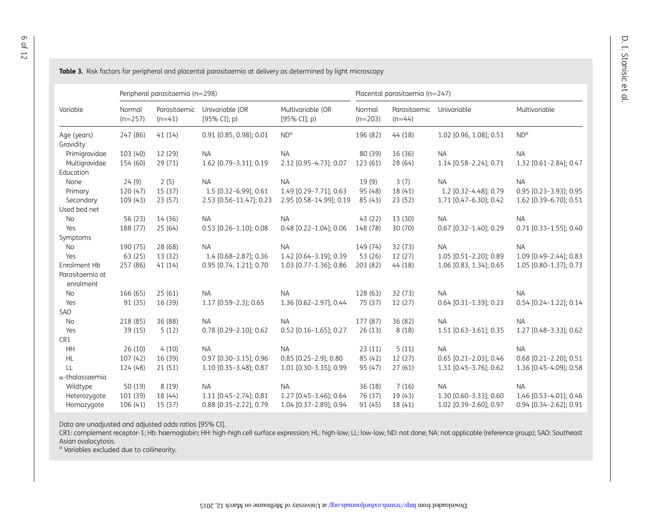|                              |                     | Peripheral parasitaemia (n=298) |                                 |                                   |                     | Placental parasitaemia (n=247) |                          |                          |
|------------------------------|---------------------|---------------------------------|---------------------------------|-----------------------------------|---------------------|--------------------------------|--------------------------|--------------------------|
| Variable                     | Normal<br>$(n=257)$ | Parasitaemic<br>$(n=41)$        | Univariable (OR<br>[95% CI]; p) | Multivariable (OR<br>[95% CI]; p) | Normal<br>$(n=203)$ | Parasitaemic<br>$(n=44)$       | Univariable              | Multivariable            |
| Age (years)                  | 247 (86)            | 41(14)                          | 0.91 [0.85, 0.98]; 0.01         | ND <sup>a</sup>                   | 196 (82)            | 44 (18)                        | 1.02 [0.96, 1.08]; 0.51  | ND <sup>o</sup>          |
| Gravidity                    |                     |                                 |                                 |                                   |                     |                                |                          |                          |
| Primigravidae                | 103 (40)            | 12 (29)                         | <b>NA</b>                       | <b>NA</b>                         | 80 (39)             | 16 (36)                        | <b>NA</b>                | <b>NA</b>                |
| Multigravidae                | 154 (60)            | 29 (71)                         | 1.62 [0.79-3.31]; 0.19          | 2.12 [0.95-4.73]; 0.07            | 123 (61)            | 28 (64)                        | 1.14 [0.58-2.24]; 0.71   | 1.32 [0.61-2.84]; 0.47   |
| Education                    |                     |                                 |                                 |                                   |                     |                                |                          |                          |
| None                         | 24(9)               | 2(5)                            | <b>NA</b>                       | <b>NA</b>                         | 19(9)               | 3(7)                           | <b>NA</b>                | <b>NA</b>                |
| Primary                      | 120(47)             | 15 (37)                         | 1.5 [0.32-6.99]; 0.61           | 1.49 [0.29-7.71]; 0.63            | 95 (48)             | 18 (41)                        | 1.2 [0.32-4.48]; 0.79    | 0.95 [0.23-3.93]; 0.95   |
| Secondary                    | 109 (43)            | 23(57)                          | 2.53 [0.56-11.47]; 0.23         | 2.95 [0.58-14.99]; 0.19           | 85 (43)             | 23(52)                         | 1.71 [0.47-6.30]; 0.42   | 1.62 [0.39-6.70]; 0.51   |
| Used bed net                 |                     |                                 |                                 |                                   |                     |                                |                          |                          |
| No                           | 56 (23)             | 14 (36)                         | <b>NA</b>                       | <b>NA</b>                         | 43 (22)             | 13 (30)                        | <b>NA</b>                | <b>NA</b>                |
| Yes                          | 188 (77)            | 25(64)                          | $0.53$ [0.26-1.10]; 0.08        | $0.48$ [0.22-1.04]; 0.06          | 148 (78)            | 30 (70)                        | $0.67$ [0.32-1.40]; 0.29 | $0.71$ [0.33-1.55]; 0.40 |
| Symptoms                     |                     |                                 |                                 |                                   |                     |                                |                          |                          |
| No                           | 190 (75)            | 28 (68)                         | <b>NA</b>                       | <b>NA</b>                         | 149 (74)            | 32 (73)                        | <b>NA</b>                | <b>NA</b>                |
| Yes                          | 63 (25)             | 13 (32)                         | 1.4 [0.68-2.87]; 0.36           | 1.42 [0.64-3.19]; 0.39            | 53 (26)             | 12 (27)                        | 1.05 [0.51-2.20]; 0.89   | 1.09 [0.49-2.44]; 0.83   |
| Enrolment Hb                 | 257 (86)            | 41(14)                          | 0.95 [0.74, 1.21]; 0.70         | 1.03 [0.77-1.36]; 0.86            | 203 (82)            | 44 (18)                        | 1.06 [0.83, 1.34]; 0.65  | 1.05 [0.80-1.37]; 0.73   |
| Parasitaemia at<br>enrolment |                     |                                 |                                 |                                   |                     |                                |                          |                          |
| No                           | 166 (65)            | 25(61)                          | <b>NA</b>                       | <b>NA</b>                         | 128 (63)            | 32 (73)                        | <b>NA</b>                | <b>NA</b>                |
| Yes                          | 91 (35)             | 16 (39)                         | 1.17 [0.59-2.3]; 0.65           | 1.36 [0.62-2.97]; 0.44            | 75 (37)             | 12(27)                         | $0.64$ [0.31-1.39]; 0.23 | 0.54 [0.24-1.22]; 0.14   |
| SAO                          |                     |                                 |                                 |                                   |                     |                                |                          |                          |
| No                           | 218 (85)            | 36 (88)                         | <b>NA</b>                       | <b>NA</b>                         | 177 (87)            | 36 (82)                        | <b>NA</b>                | <b>NA</b>                |
| Yes                          | 39 (15)             | 5(12)                           | 0.78 [0.29-2.10]; 0.62          | $0.52$ [0.16-1.65]; 0.27          | 26(13)              | 8(18)                          | 1.51 [0.63-3.61]; 0.35   | 1.27 [0.48-3.33]; 0.62   |
| CR1                          |                     |                                 |                                 |                                   |                     |                                |                          |                          |
| <b>HH</b>                    | 26(10)              | 4(10)                           | <b>NA</b>                       | <b>NA</b>                         | 23(11)              | 5(11)                          | <b>NA</b>                | <b>NA</b>                |
| <b>HL</b>                    | 107 (42)            | 16 (39)                         | 0.97 [0.30-3.15]; 0.96          | 0.85 [0.25-2.9]; 0.80             | 85 (42)             | 12 (27)                        | 0.65 [0.21-2.03]; 0.46   | 0.68 [0.21-2.20]; 0.51   |
| LL                           | 124 (48)            | 21(51)                          | 1.10 [0.35-3.48]; 0.87          | 1.01 [0.30-3.35]; 0.99            | 95 (47)             | 27(61)                         | 1.31 [0.45-3.76]; 0.62   | 1.36 [0.45-4.09]; 0.58   |
| $\alpha$ -thalassaemia       |                     |                                 |                                 |                                   |                     |                                |                          |                          |
| Wildtype                     | 50 (19)             | 8(19)                           | <b>NA</b>                       | <b>NA</b>                         | 36 (18)             | 7(16)                          | <b>NA</b>                | <b>NA</b>                |
| Heterozygote                 | 101 (39)            | 18 (44)                         | 1.11 [0.45-2.74]; 0.81          | 1.27 [0.45-3.46]; 0.64            | 76 (37)             | 19 (43)                        | 1.30 [0.60-3.33]; 0.60   | 1.46 [0.53-4.01]; 0.46   |
| Homozygote                   | 106(41)             | 15(37)                          | 0.88 [0.35-2.22]; 0.79          | 1.04 [0.37-2.89]; 0.94            | 91 (45)             | 18 (41)                        | 1.02 [0.39-2.60]; 0.97   | 0.94 [0.34-2.62]; 0.91   |

<span id="page-5-0"></span>**Table 3.** Risk factors for peripheral and placental parasitaemia at delivery as determined by light microscopy

Data are unadjusted and adjusted odds ratios [95% CI].

CR1: complement receptor-1; Hb: haemoglobin; HH: high-high cell surface expression; HL: high-low; LL: low-low; ND: not done; NA: not applicable (reference group); SAO: Southeast Asian ovalocytosis.

<sup>a</sup> Variables excluded due to collinearity.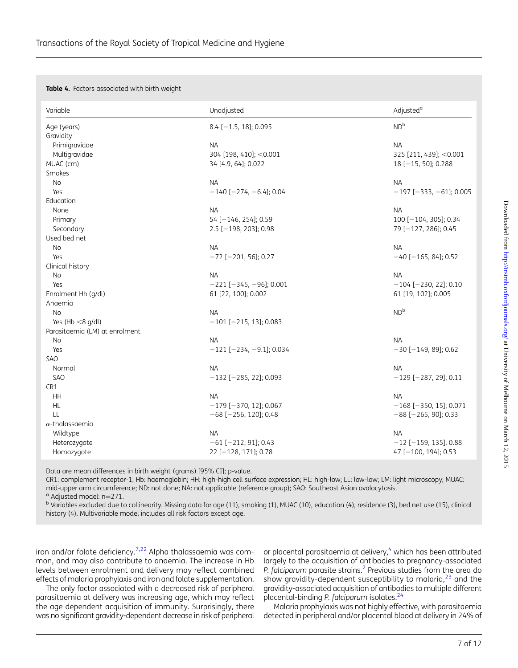<span id="page-6-0"></span>Table 4. Factors associated with birth weight

| Variable                       | Unadjusted                        | Adjusted <sup>a</sup>         |
|--------------------------------|-----------------------------------|-------------------------------|
| Age (years)                    | 8.4 $[-1.5, 18]$ ; 0.095          | ND <sup>b</sup>               |
| Gravidity                      |                                   |                               |
| Primigravidae                  | <b>NA</b>                         | <b>NA</b>                     |
| Multigravidae                  | 304 [198, 410]; < 0.001           | 325 [211, 439]; < 0.001       |
| MUAC (cm)                      | 34 [4.9, 64]; 0.022               | $18[-15, 50]$ ; 0.288         |
| Smokes                         |                                   |                               |
| No                             | <b>NA</b>                         | <b>NA</b>                     |
| Yes                            | $-140$ [ $-274$ , $-6.4$ ]; 0.04  | $-197$ [ $-333, -61$ ]; 0.005 |
| Education                      |                                   |                               |
| None                           | <b>NA</b>                         | <b>NA</b>                     |
| Primary                        | 54 [-146, 254]; 0.59              | 100 [-104, 305]; 0.34         |
| Secondary                      | $2.5$ [-198, 203]; 0.98           | 79 [-127, 286]; 0.45          |
| Used bed net                   |                                   |                               |
| <b>No</b>                      | <b>NA</b>                         | <b>NA</b>                     |
| Yes                            | $-72$ [ $-201$ , 56]; 0.27        | $-40$ [ $-165, 84$ ]; 0.52    |
| Clinical history               |                                   |                               |
| No                             | <b>NA</b>                         | <b>NA</b>                     |
| Yes                            | $-221$ [ $-345, -96$ ]; 0.001     | $-104$ [ $-230$ , 22]; 0.10   |
| Enrolment Hb (g/dl)            | 61 [22, 100]; 0.002               | 61 [19, 102]; 0.005           |
| Anaemia                        |                                   |                               |
| <b>No</b>                      | <b>NA</b>                         | ND <sup>b</sup>               |
| Yes (Hb $<$ 8 g/dl)            | $-101$ [ $-215$ , 13]; 0.083      |                               |
| Parasitaemia (LM) at enrolment |                                   |                               |
| No                             | <b>NA</b>                         | <b>NA</b>                     |
| Yes                            | $-121$ [ $-234$ , $-9.1$ ]; 0.034 | $-30$ [ $-149$ , 89]; 0.62    |
| <b>SAO</b>                     |                                   |                               |
| Normal                         | <b>NA</b>                         | <b>NA</b>                     |
| SAO                            | $-132$ [ $-285$ , 22]; 0.093      | $-129$ [ $-287, 29$ ]; 0.11   |
| CR1                            |                                   |                               |
| <b>HH</b>                      | <b>NA</b>                         | <b>NA</b>                     |
| HL                             | $-179$ [ $-370$ , 12]; 0.067      | $-168$ [ $-350$ , 15]; 0.071  |
| LL                             | $-68$ [ $-256$ , 120]; 0.48       | $-88$ [ $-265$ , 90]; 0.33    |
| $\alpha$ -thalassaemia         |                                   |                               |
| Wildtype                       | <b>NA</b>                         | <b>NA</b>                     |
| Heterozygote                   | $-61$ [ $-212$ , 91]; 0.43        | $-12$ [-159, 135]; 0.88       |
| Homozygote                     | 22 [-128, 171]; 0.78              | 47 [-100, 194]; 0.53          |

Data are mean differences in birth weight (grams) [95% CI]; p-value.

CR1: complement receptor-1; Hb: haemoglobin; HH: high-high cell surface expression; HL: high-low; LL: low-low; LM: light microscopy; MUAC: mid-upper arm circumference; ND: not done; NA: not applicable (reference group); SAO: Southeast Asian ovalocytosis.

 $^{\text{b}}$  Variables excluded due to collinearity. Missing data for age (11), smoking (1), MUAC (10), education (4), residence (3), bed net use (15), clinical history (4). Multivariable model includes all risk factors except age.

iron and/or folate deficiency.<sup>[7](#page-11-0),[22](#page-11-0)</sup> Alpha thalassaemia was common, and may also contribute to anaemia. The increase in Hb levels between enrolment and delivery may reflect combined effects of malaria prophylaxis and iron and folate supplementation.

The only factor associated with a decreased risk of peripheral parasitaemia at delivery was increasing age, which may reflect the age dependent acquisition of immunity. Surprisingly, there was no significant gravidity-dependent decrease in risk of peripheral

or placental parasitaemia at delivery,<sup>4</sup> which has been attributed largely to the acquisition of antibodies to pregnancy-associated P. falciparum parasite strains.<sup>[2](#page-11-0)</sup> Previous studies from the area do show gravidity-dependent susceptibility to malaria, $^{23}$  $^{23}$  $^{23}$  and the gravidity-associated acquisition of antibodies to multiple different placental-binding P. falciparum isolates.<sup>[24](#page-11-0)</sup>

Malaria prophylaxis was not highly effective, with parasitaemia detected in peripheral and/or placental blood at delivery in 24% of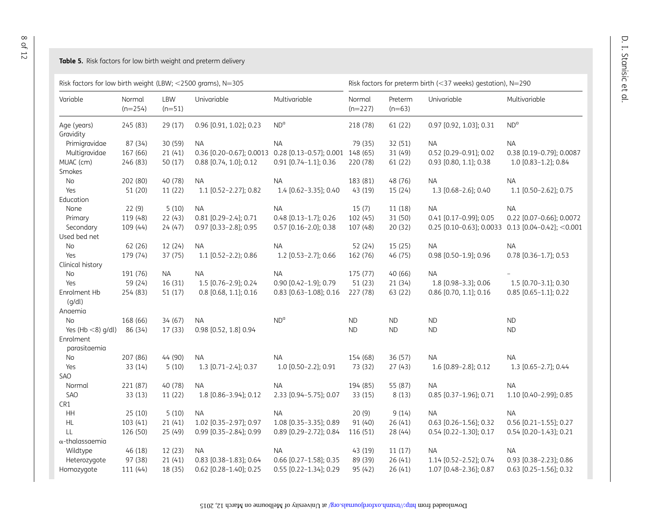#### <span id="page-7-0"></span>**Table 5.** Risk factors for low birth weight and preterm delivery

| Risk factors for low birth weight (LBW; <2500 grams), N=305 |                     |                 |                                                           | Risk factors for preterm birth (<37 weeks) gestation), N=290 |                     |                     |                          |                                                   |
|-------------------------------------------------------------|---------------------|-----------------|-----------------------------------------------------------|--------------------------------------------------------------|---------------------|---------------------|--------------------------|---------------------------------------------------|
| Variable                                                    | Normal<br>$(n=254)$ | LBW<br>$(n=51)$ | Univariable                                               | Multivariable                                                | Normal<br>$(n=227)$ | Preterm<br>$(n=63)$ | Univariable              | Multivariable                                     |
| Age (years)                                                 | 245 (83)            | 29 (17)         | 0.96 [0.91, 1.02]; 0.23                                   | $ND^{a}$                                                     | 218 (78)            | 61 (22)             | 0.97 [0.92, 1.03]; 0.31  | $ND^{\alpha}$                                     |
| Gravidity                                                   |                     |                 |                                                           |                                                              |                     |                     |                          |                                                   |
| Primigravidae                                               | 87 (34)             | 30 (59)         | <b>NA</b>                                                 | <b>NA</b>                                                    | 79 (35)             | 32 (51)             | <b>NA</b>                | <b>NA</b>                                         |
| Multigravidae                                               | 167 (66)            | 21(41)          | 0.36 [0.20-0.67]; 0.0013 0.28 [0.13-0.57]; 0.001 148 (65) |                                                              |                     | 31 (49)             | 0.52 [0.29-0.91]; 0.02   | 0.38 [0.19-0.79]; 0.0087                          |
| MUAC (cm)                                                   | 246 (83)            | 50 (17)         | 0.88 [0.74, 1.0]; 0.12                                    | 0.91 [0.74-1.1]; 0.36                                        | 220 (78)            | 61 (22)             | 0.93 [0.80, 1.1]; 0.38   | 1.0 [0.83-1.2]; 0.84                              |
| Smokes                                                      |                     |                 |                                                           |                                                              |                     |                     |                          |                                                   |
| No                                                          | 202 (80)            | 40 (78)         | ΝA                                                        | <b>NA</b>                                                    | 183 (81)            | 48 (76)             | NA.                      | <b>NA</b>                                         |
| Yes                                                         | 51 (20)             | 11 (22)         | 1.1 [0.52-2.27]; 0.82                                     | 1.4 [0.62-3.35]; 0.40                                        | 43 (19)             | 15 (24)             | 1.3 [0.68-2.6]; 0.40     | 1.1 [0.50-2.62]; 0.75                             |
| Education                                                   |                     |                 |                                                           |                                                              |                     |                     |                          |                                                   |
| None                                                        | 22(9)               | 5(10)           | <b>NA</b>                                                 | <b>NA</b>                                                    | 15(7)               | 11(18)              | <b>NA</b>                | <b>NA</b>                                         |
| Primary                                                     | 119 (48)            | 22(43)          | $0.81$ [0.29-2.4]; 0.71                                   | 0.48 [0.13-1.7]; 0.26                                        | 102 (45)            | 31 (50)             | $0.41$ [0.17-0.99]; 0.05 | 0.22 [0.07-0.66]; 0.0072                          |
| Secondary                                                   | 109 (44)            | 24(47)          | 0.97 [0.33-2.8]; 0.95                                     | 0.57 [0.16-2.0]; 0.38                                        | 107 (48)            | 20 (32)             |                          | 0.25 [0.10-0.63]; 0.0033 0.13 [0.04-0.42]; <0.001 |
| Used bed net                                                |                     |                 |                                                           |                                                              |                     |                     |                          |                                                   |
| No                                                          | 62 (26)             | 12(24)          | NA.                                                       | <b>NA</b>                                                    | 52 (24)             | 15(25)              | <b>NA</b>                | <b>NA</b>                                         |
| Yes                                                         | 179 (74)            | 37 (75)         | 1.1 [0.52-2.2); 0.86                                      | 1.2 [0.53-2.7]; 0.66                                         | 162 (76)            | 46 (75)             | 0.98 [0.50-1.9]; 0.96    | 0.78 [0.36-1.7]; 0.53                             |
| Clinical history                                            |                     |                 |                                                           |                                                              |                     |                     |                          |                                                   |
| No                                                          | 191 (76)            | <b>NA</b>       | <b>NA</b>                                                 | <b>NA</b>                                                    | 175 (77)            | 40 (66)             | <b>NA</b>                |                                                   |
| Yes                                                         | 59 (24)             | 16 (31)         | 1.5 [0.76-2.9]; 0.24                                      | 0.90 [0.42-1.9]; 0.79                                        | 51 (23)             | 21 (34)             | 1.8 [0.98-3.3]; 0.06     | 1.5 [0.70-3.1]; 0.30                              |
| Enrolment Hb<br>(g/dl)                                      | 254 (83)            | 51(17)          | 0.8 [0.68, 1.1]; 0.16                                     | 0.83 [0.63-1.08]; 0.16                                       | 227 (78)            | 63 (22)             | 0.86 [0.70, 1.1]; 0.16   | $0.85$ [0.65-1.1]; 0.22                           |
| Anaemia                                                     |                     |                 |                                                           |                                                              |                     |                     |                          |                                                   |
| No                                                          | 168 (66)            | 34(67)          | <b>NA</b>                                                 | $ND^{\alpha}$                                                | <b>ND</b>           | <b>ND</b>           | <b>ND</b>                | <b>ND</b>                                         |
| Yes (Hb $<$ 8) g/dl)                                        | 86 (34)             | 17(33)          | 0.98 [0.52, 1.8] 0.94                                     |                                                              | <b>ND</b>           | <b>ND</b>           | <b>ND</b>                | <b>ND</b>                                         |
| Enrolment<br>parasitaemia                                   |                     |                 |                                                           |                                                              |                     |                     |                          |                                                   |
| No                                                          | 207 (86)            | 44 (90)         | <b>NA</b>                                                 | <b>NA</b>                                                    | 154 (68)            | 36 (57)             | <b>NA</b>                | <b>NA</b>                                         |
| Yes                                                         | 33 (14)             | 5(10)           | 1.3 [0.71-2.4]; 0.37                                      | 1.0 [0.50-2.2]; 0.91                                         | 73 (32)             | 27(43)              | 1.6 [0.89-2.8]; 0.12     | 1.3 [0.65-2.7]; 0.44                              |
| SAO                                                         |                     |                 |                                                           |                                                              |                     |                     |                          |                                                   |
| Normal                                                      | 221 (87)            | 40 (78)         | <b>NA</b>                                                 | <b>NA</b>                                                    | 194 (85)            | 55 (87)             | <b>NA</b>                | <b>NA</b>                                         |
| SAO                                                         | 33 (13)             | 11(22)          | 1.8 [0.86-3.94]; 0.12                                     | 2.33 [0.94-5.75]; 0.07                                       | 33 (15)             | 8(13)               | 0.85 [0.37-1.96]; 0.71   | 1.10 [0.40-2.99]; 0.85                            |
| CR1                                                         |                     |                 |                                                           |                                                              |                     |                     |                          |                                                   |
| HH                                                          | 25(10)              | 5(10)           | NA.                                                       | NA.                                                          | 20(9)               | 9(14)               | <b>NA</b>                | <b>NA</b>                                         |
| HL                                                          | 103(41)             | 21(41)          | 1.02 [0.35-2.97]; 0.97                                    | 1.08 [0.35-3.35]; 0.89                                       | 91 (40)             | 26(41)              | $0.63$ [0.26-1.56]; 0.32 | 0.56 [0.21-1.55]; 0.27                            |
| LL                                                          | 126 (50)            | 25 (49)         | 0.99 [0.35-2.84]; 0.99                                    | 0.89 [0.29-2.72]; 0.84                                       | 116 (51)            | 28 (44)             | 0.54 [0.22-1.30]; 0.17   | $0.54$ [0.20-1.43]; 0.21                          |
| $\alpha$ -thalassaemia                                      |                     |                 |                                                           |                                                              |                     |                     |                          |                                                   |
| Wildtype                                                    | 46 (18)             | 12(23)          | <b>NA</b>                                                 | <b>NA</b>                                                    | 43 (19)             | 11(17)              | <b>NA</b>                | <b>NA</b>                                         |
| Heterozygote                                                | 97 (38)             | 21(41)          | 0.83 [0.38-1.83]; 0.64                                    | 0.66 [0.27-1.58]; 0.35                                       | 89 (39)             | 26(41)              | 1.14 [0.52-2.52]; 0.74   | 0.93 [0.38-2.23]; 0.86                            |
| Homozygote                                                  | 111 (44)            | 18 (35)         | 0.62 [0.28-1.40]; 0.25                                    | $0.55$ [0.22-1.34]; 0.29                                     | 95 (42)             | 26(41)              | 1.07 [0.48-2.36]; 0.87   | $0.63$ [0.25-1.56]; 0.32                          |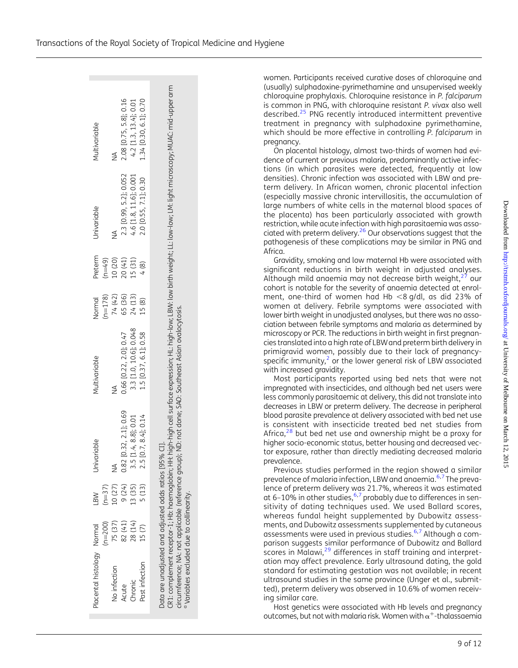$.2015$ 

| Transactions of the Royal Society of Tropical Medicine and Hygiene |  |  |  |  |
|--------------------------------------------------------------------|--|--|--|--|
|--------------------------------------------------------------------|--|--|--|--|

| Placental histology Normal                                                                                |           | LBW      | Univariable                                                                                                      | Multivariable          | <b>Jormal</b> | Preterm  | Univariable            | Multivariable                                                                                                                                                                   |
|-----------------------------------------------------------------------------------------------------------|-----------|----------|------------------------------------------------------------------------------------------------------------------|------------------------|---------------|----------|------------------------|---------------------------------------------------------------------------------------------------------------------------------------------------------------------------------|
|                                                                                                           | $(n=200)$ | $(n=37)$ |                                                                                                                  |                        | $(n=178)$     | $(n=49)$ |                        |                                                                                                                                                                                 |
| No infection                                                                                              | 75 (37)   | 10 (27)  | Z                                                                                                                | ≸                      | 74 (42)       | 10 (20)  | ≸                      | ≸                                                                                                                                                                               |
| Acute                                                                                                     | 82 (41)   | 9(24)    | $[0.32, 2.1]$ ; 0.69<br>0.82                                                                                     | 0.66 [0.22, 2.0]; 0.47 | 65 (36)       | 20 (41)  | 2.3 [0.99, 5.2]; 0.052 | 2.08 [0.75, 5.8]; 0.16                                                                                                                                                          |
| Chronic                                                                                                   | 28 (14)   | 13 (35)  | $[1.4, 8.8]$ ; 0.01<br>5.S                                                                                       | 3.3 [1.0, 10.6]; 0.048 | 24(13)        | 15 (31)  | 4.6 [1.8, 11.6]; 0.001 | $4.2$ [1.3, 13.4]; 0.01                                                                                                                                                         |
| Past infection                                                                                            | 15(7)     | 5 (13)   | $[0.7, 8.4]$ ; 0.14                                                                                              | 1.5 [0.37, 6.1]; 0.58  | 15(8)         | 4(8)     | 2.0 [0.55, 7.1]; 0.30  | 1.34 [0.30, 6.1]; 0.70                                                                                                                                                          |
| Data are unadjusted and adjusted odds ratios [95'<br><sup>a</sup> Variables excluded due to collinearity. |           |          | ircumference; NA: not applicable (reference group); ND: not done; SAO: Southeast Asian ovalocytosis.<br>.)% CI]. |                        |               |          |                        | CR1: complement receptor-1; Hb: haemoglobin; HH: high-high cell surface expression; HL: high-low; LBW: low birth weight; LL: low-low; LM: light microscopy; MUAC: mid-upper arm |

women. Participants received curative doses of chloroquine and (usually) sulphadoxine-pyrimethamine and unsupervised weekly chloroquine prophylaxis. Chloroquine resistance in P. falciparum is common in PNG, with chloroquine resistant P. vivax also well described.<sup>[25](#page-11-0)</sup> PNG recently introduced intermittent preventive treatment in pregnancy with sulphadoxine pyrimethamine, which should be more effective in controlling P. falciparum in pregnancy.

On placental histology, almost two-thirds of women had evidence of current or previous malaria, predominantly active infections (in which parasites were detected, frequently at low densities). Chronic infection was associated with LBW and preterm delivery. In African women, chronic placental infection (especially massive chronic intervillositis, the accumulation of large numbers of white cells in the maternal blood spaces of the placenta) has been particularly associated with growth restriction, while acute infection with high parasitaemia was associated with preterm delivery. $26$  Our observations suggest that the pathogenesis of these complications may be similar in PNG and Africa.

Gravidity, smoking and low maternal Hb were associated with significant reductions in birth weight in adjusted analyses. Although mild anaemia may not decrease birth weight, $^{27}$  $^{27}$  $^{27}$  our cohort is notable for the severity of anaemia detected at enrolment, one-third of women had Hb  $<$ 8 g/dl, as did 23% of women at delivery. Febrile symptoms were associated with lower birth weight in unadjusted analyses, but there was no association between febrile symptoms and malaria as determined by microscopy or PCR. The reductions in birth weight in first pregnancies translated into a high rate of LBWand preterm birth delivery in primigravid women, possibly due to their lack of pregnancyspecific immunity, $<sup>2</sup>$  $<sup>2</sup>$  $<sup>2</sup>$  or the lower general risk of LBW associated</sup> with increased gravidity.

Most participants reported using bed nets that were not impregnated with insecticides, and although bed net users were less commonly parasitaemic at delivery, this did not translate into decreases in LBW or preterm delivery. The decrease in peripheral blood parasite prevalence at delivery associated with bed net use is consistent with insecticide treated bed net studies from Africa, $28$  but bed net use and ownership might be a proxy for higher socio-economic status, better housing and decreased vector exposure, rather than directly mediating decreased malaria prevalence.

Previous studies performed in the region showed a similar prevalence of malaria infection, LBW and anaemia.<sup>[6](#page-11-0),[7](#page-11-0)</sup> The prevalence of preterm delivery was 21.7%, whereas it was estimated at [6](#page-11-0)-10% in other studies,  $6,7$  $6,7$  probably due to differences in sensitivity of dating techniques used. We used Ballard scores, whereas fundal height supplemented by Dubowitz assessments, and Dubowitz assessments supplemented by cutaneous assessments were used in previous studies.[6](#page-11-0),[7](#page-11-0) Although a comparison suggests similar performance of Dubowitz and Ballard scores in Malawi,<sup>[29](#page-11-0)</sup> differences in staff training and interpretation may affect prevalence. Early ultrasound dating, the gold standard for estimating gestation was not available; in recent ultrasound studies in the same province (Unger et al., submitted), preterm delivery was observed in 10.6% of women receiving similar care.

Host genetics were associated with Hb levels and pregnancy outcomes, but not with malaria risk. Women with  $\alpha^+$ -thalassaemia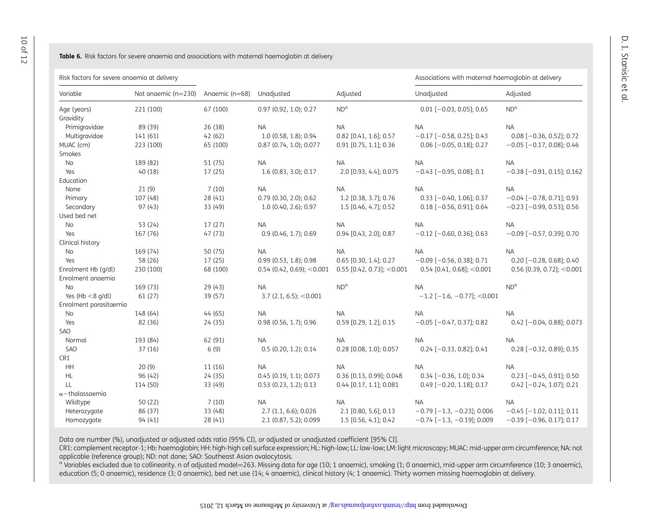#### <span id="page-9-0"></span>**Table 6.** Risk factors for severe anaemia and associations with maternal haemoglobin at delivery

Risk factors for severe anaemia at delivery and the second term of the second term of the second term of the second term of the second term of the second term of the second term of the second term of the second term of the

| Variable               | Not anaemic (n=230) | Angemic (n=68) | Unadjusted                   | Adjusted                     | Unadjusted                          | Adjusted                         |
|------------------------|---------------------|----------------|------------------------------|------------------------------|-------------------------------------|----------------------------------|
| Age (years)            | 221 (100)           | 67 (100)       | $0.97$ (0.92, 1.0); 0.27     | ND <sup>a</sup>              | $0.01$ [-0.03, 0.05]; 0.65          | ND <sup>a</sup>                  |
| Gravidity              |                     |                |                              |                              |                                     |                                  |
| Primigravidae          | 89 (39)             | 26 (38)        | <b>NA</b>                    | <b>NA</b>                    | <b>NA</b>                           | <b>NA</b>                        |
| Multigravidae          | 141(61)             | 42(62)         | 1.0 (0.58, 1.8); 0.94        | 0.82 [0.41, 1.6]; 0.57       | $-0.17$ [ $-0.58$ , 0.25]; 0.43     | $0.08$ [-0.36, 0.52]; 0.72       |
| MUAC (cm)              | 223 (100)           | 65 (100)       | 0.87 (0.74, 1.0); 0.077      | 0.91 [0.75, 1.1]; 0.36       | $0.06$ [ $-0.05$ , 0.18]; 0.27      | $-0.05$ [ $-0.17$ , 0.08]; 0.46  |
| Smokes                 |                     |                |                              |                              |                                     |                                  |
| <b>No</b>              | 189 (82)            | 51 (75)        | <b>NA</b>                    | <b>NA</b>                    | <b>NA</b>                           | <b>NA</b>                        |
| Yes                    | 40(18)              | 17 (25)        | 1.6 (0.83, 3.0); 0.17        | 2.0 [0.93, 4.4]; 0.075       | $-0.43$ [ $-0.95$ , 0.08]; 0.1      | $-0.38$ [ $-0.91$ , 0.15]; 0.162 |
| Education              |                     |                |                              |                              |                                     |                                  |
| None                   | 21(9)               | 7(10)          | <b>NA</b>                    | <b>NA</b>                    | <b>NA</b>                           | <b>NA</b>                        |
| Primary                | 107 (48)            | 28 (41)        | 0.79 (0.30, 2.0); 0.62       | 1.2 [0.38, 3.7]; 0.76        | $0.33$ [-0.40, 1.06]; 0.37          | $-0.04$ [ $-0.78$ , 0.71]; 0.93  |
| Secondary              | 97(43)              | 33 (49)        | 1.0 (0.40, 2.6); 0.97        | 1.5 [0.46, 4.7]; 0.52        | $0.18$ [-0.56, 0.91]; 0.64          | $-0.23$ [ $-0.99$ , 0.53]; 0.56  |
| Used bed net           |                     |                |                              |                              |                                     |                                  |
| No                     | 53 (24)             | 17(27)         | <b>NA</b>                    | <b>NA</b>                    | <b>NA</b>                           | <b>NA</b>                        |
| Yes                    | 167 (76)            | 47 (73)        | $0.9$ (0.46, 1.7); 0.69      | 0.94 [0.43, 2.0]; 0.87       | $-0.12$ [ $-0.60$ , 0.36]; 0.63     | $-0.09$ [ $-0.57$ , 0.39]; 0.70  |
| Clinical history       |                     |                |                              |                              |                                     |                                  |
| No                     | 169 (74)            | 50 (75)        | <b>NA</b>                    | <b>NA</b>                    | <b>NA</b>                           | <b>NA</b>                        |
| Yes                    | 58 (26)             | 17(25)         | 0.99(0.53, 1.8); 0.98        | 0.65 [0.30, 1.4]; 0.27       | $-0.09$ [ $-0.56$ , 0.38]; 0.71     | $0.20$ [-0.28, 0.68]; 0.40       |
| Enrolment Hb (g/dl)    | 230 (100)           | 68 (100)       | $0.54$ (0.42, 0.69); < 0.001 | $0.55$ [0.42, 0.73]; < 0.001 | $0.54$ [0.41, 0.68]; < 0.001        | 0.56 [0.39, 0.72]; < $0.001$     |
| Enrolment anaemia      |                     |                |                              |                              |                                     |                                  |
| No                     | 169 (73)            | 29 (43)        | <b>NA</b>                    | $ND^{\alpha}$                | <b>NA</b>                           | ND <sup>o</sup>                  |
| Yes (Hb $<$ 8 g/dl)    | 61 (27)             | 39 (57)        | $3.7$ (2.1, 6.5); < 0.001    |                              | $-1.2$ [ $-1.6$ , $-0.77$ ]; <0.001 |                                  |
| Enrolment parasitaemia |                     |                |                              |                              |                                     |                                  |
| No                     | 148 (64)            | 44(65)         | <b>NA</b>                    | <b>NA</b>                    | <b>NA</b>                           | <b>NA</b>                        |
| Yes                    | 82 (36)             | 24 (35)        | 0.98 (0.56, 1.7); 0.96       | 0.59 [0.29, 1.2]; 0.15       | $-0.05$ [ $-0.47, 0.37$ ]; 0.82     | $0.42$ [-0.04, 0.88]; 0.073      |
| SAO                    |                     |                |                              |                              |                                     |                                  |
| Normal                 | 193 (84)            | 62 (91)        | <b>NA</b>                    | <b>NA</b>                    | <b>NA</b>                           | <b>NA</b>                        |
| SAO                    | 37(16)              | 6(9)           | $0.5$ (0.20, 1.2); 0.14      | 0.28 [0.08, 1.0]; 0.057      | $0.24$ [-0.33, 0.82]; 0.41          | $0.28$ [-0.32, 0.89]; 0.35       |
| CR1                    |                     |                |                              |                              |                                     |                                  |
| HH                     | 20(9)               | 11(16)         | <b>NA</b>                    | <b>NA</b>                    | <b>NA</b>                           | <b>NA</b>                        |
| <b>HL</b>              | 96 (42)             | 24 (35)        | 0.45(0.19, 1.1); 0.073       | 0.36 [0.13, 0.99]; 0.048     | $0.34$ [-0.36, 1.0]; 0.34           | $0.23$ [-0.45, 0.91]; 0.50       |
| LL                     | 114 (50)            | 33 (49)        | $0.53$ (0.23, 1.2); 0.13     | 0.44 [0.17, 1.1]; 0.081      | $0.49$ [-0.20, 1.18]; 0.17          | $0.42$ [-0.24, 1.07]; 0.21       |
| $\alpha$ -thalassaemia |                     |                |                              |                              |                                     |                                  |
| Wildtype               | 50 (22)             | 7(10)          | <b>NA</b>                    | <b>NA</b>                    | <b>NA</b>                           | <b>NA</b>                        |
| Heterozygote           | 86 (37)             | 33 (48)        | 2.7(1.1, 6.6); 0.026         | 2.1 [0.80, 5.6]; 0.13        | $-0.79$ [ $-1.3$ , $-0.23$ ]; 0.006 | $-0.45$ [ $-1.02$ , 0.11]; 0.11  |
| Homozygote             | 94 (41)             | 28(41)         | 2.1 (0.87, 5.2); 0.099       | 1.5 [0.56, 4.1]; 0.42        | $-0.74$ [ $-1.3$ , $-0.19$ ]; 0.009 | $-0.39$ [ $-0.96$ , 0.17]; 0.17  |

Data are number (%), unadjusted or adjusted odds ratio (95% CI), or adjusted or unadjusted coefficient [95% CI].

CR1: complement receptor-1; Hb: haemoglobin; HH: high-high cell surface expression; HL: high-low; LL: low-low; LM: light microscopy; MUAC: mid-upper arm circumference; NA: not applicable (reference group); ND: not done; SAO: Southeast Asian ovalocytosis.

 $^\text{o}$  Variables excluded due to collinearity. n of adjusted model=263. Missing data for age (10; 1 anaemic), smoking (1; 0 anaemic), mid-upper arm circumference (10; 3 anaemic), education (5; 0 anaemic), residence (3; 0 anaemic), bed net use (14; 4 anaemic), clinical history (4; 1 anaemic). Thirty women missing haemoglobin at delivery.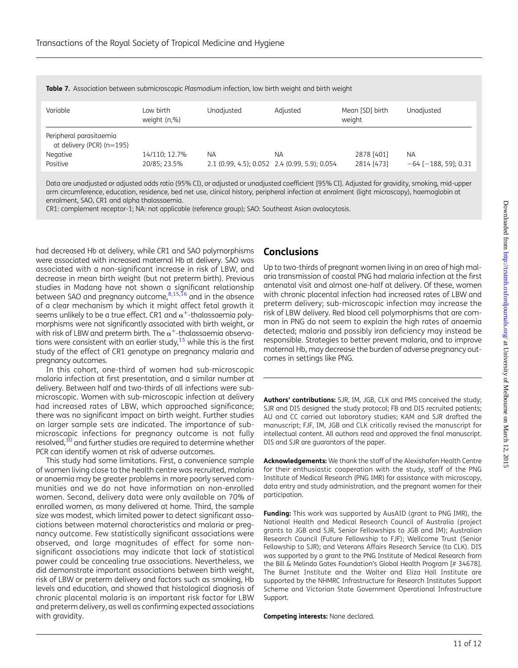| Variable                                                                       | Low birth<br>weight (n,%)     | Unadjusted | Adjusted                                            | Mean [SD] birth<br>weight | Unadjusted                              |
|--------------------------------------------------------------------------------|-------------------------------|------------|-----------------------------------------------------|---------------------------|-----------------------------------------|
| Peripheral parasitaemia<br>at delivery (PCR) $(n=195)$<br>Negative<br>Positive | 14/110; 12.7%<br>20/85; 23.5% | ΝA         | NΑ<br>2.1 (0.99, 4.5); 0.052 2.4 (0.99, 5.9); 0.054 | 2878 [401]<br>2814 [473]  | <b>NA</b><br>$-64$ [ $-188$ , 59]; 0.31 |

<span id="page-10-0"></span>Table 7. Association between submicroscopic Plasmodium infection, low birth weight and birth weight

Data are unadjusted or adjusted odds ratio (95% CI), or adjusted or unadjusted coefficient [95% CI]. Adjusted for gravidity, smoking, mid-upper arm circumference, education, residence, bed net use, clinical history, peripheral infection at enrolment (light microscopy), haemoglobin at enrolment, SAO, CR1 and alpha thalassaemia.

CR1: complement receptor-1; NA: not applicable (reference group); SAO: Southeast Asian ovalocytosis.

had decreased Hb at delivery, while CR1 and SAO polymorphisms were associated with increased maternal Hb at delivery. SAO was associated with a non-significant increase in risk of LBW, and decrease in mean birth weight (but not preterm birth). Previous studies in Madang have not shown a significant relationship between SAO and pregnancy outcome,<sup>[8,15](#page-11-0),[16](#page-11-0)</sup> and in the absence of a clear mechanism by which it might affect fetal growth it seems unlikely to be a true effect. CR1 and  $\alpha^+$ -thalassaemia polymorphisms were not significantly associated with birth weight, or with risk of LBW and preterm birth. The  $\alpha^+$ -thalassaemia observations were consistent with an earlier study, $15$  while this is the first study of the effect of CR1 genotype on pregnancy malaria and pregnancy outcomes.

In this cohort, one-third of women had sub-microscopic malaria infection at first presentation, and a similar number at delivery. Between half and two-thirds of all infections were submicroscopic. Women with sub-microscopic infection at delivery had increased rates of LBW, which approached significance; there was no significant impact on birth weight. Further studies on larger sample sets are indicated. The importance of submicroscopic infections for pregnancy outcome is not fully resolved,<sup>[30](#page-11-0)</sup> and further studies are required to determine whether PCR can identify women at risk of adverse outcomes.

This study had some limitations. First, a convenience sample of women living close to the health centre was recruited, malaria or anaemia may be greater problems in more poorly served communities and we do not have information on non-enrolled women. Second, delivery data were only available on 70% of enrolled women, as many delivered at home. Third, the sample size was modest, which limited power to detect significant associations between maternal characteristics and malaria or pregnancy outcome. Few statistically significant associations were observed, and large magnitudes of effect for some nonsignificant associations may indicate that lack of statistical power could be concealing true associations. Nevertheless, we did demonstrate important associations between birth weight, risk of LBW or preterm delivery and factors such as smoking, Hb levels and education, and showed that histological diagnosis of chronic placental malaria is an important risk factor for LBW and preterm delivery, as well as confirming expected associations with gravidity.

### **Conclusions**

Up to two-thirds of pregnant women living in an area of high malaria transmission of coastal PNG had malaria infection at the first antenatal visit and almost one-half at delivery. Of these, women with chronic placental infection had increased rates of LBW and preterm delivery; sub-microscopic infection may increase the risk of LBW delivery. Red blood cell polymorphisms that are common in PNG do not seem to explain the high rates of anaemia detected; malaria and possibly iron deficiency may instead be responsible. Strategies to better prevent malaria, and to improve maternal Hb, may decrease the burden of adverse pregnancy outcomes in settings like PNG.

Authors' contributions: SJR, IM, JGB, CLK and PMS conceived the study; SJR and DIS designed the study protocol; FB and DIS recruited patients; AU and CC carried out laboratory studies; KAM and SJR drafted the manuscript; FJF, IM, JGB and CLK critically revised the manuscript for intellectual content. All authors read and approved the final manuscript. DIS and SJR are guarantors of the paper.

Acknowledgements: We thank the staff of the Alexishafen Health Centre for their enthusiastic cooperation with the study, staff of the PNG Institute of Medical Research (PNG IMR) for assistance with microscopy, data entry and study administration, and the pregnant women for their participation.

Funding: This work was supported by AusAID (grant to PNG IMR), the National Health and Medical Research Council of Australia (project grants to JGB and SJR, Senior Fellowships to JGB and IM); Australian Research Council (Future Fellowship to FJF); Wellcome Trust (Senior Fellowship to SJR); and Veterans Affairs Research Service (to CLK). DIS was supported by a grant to the PNG Institute of Medical Research from the Bill & Melinda Gates Foundation's Global Health Program [# 34678]. The Burnet Institute and the Walter and Eliza Hall Institute are supported by the NHMRC Infrastructure for Research Institutes Support Scheme and Victorian State Government Operational Infrastructure Support.

Competing interests: None declared.